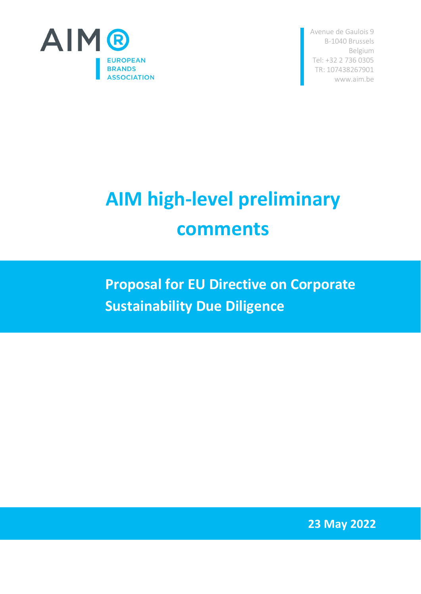

Avenue de Gaulois 9 B-1040 Brussels Belgium Tel: +32 2 736 0305 TR: [107438267901](http://ec.europa.eu/transparencyregister/public/consultation/displaylobbyist.do?id=1074382679-01) www.aim.be

## **AIM high-level preliminary comments**

**Proposal for EU Directive on Corporate Sustainability Due Diligence**

**23 May 2022**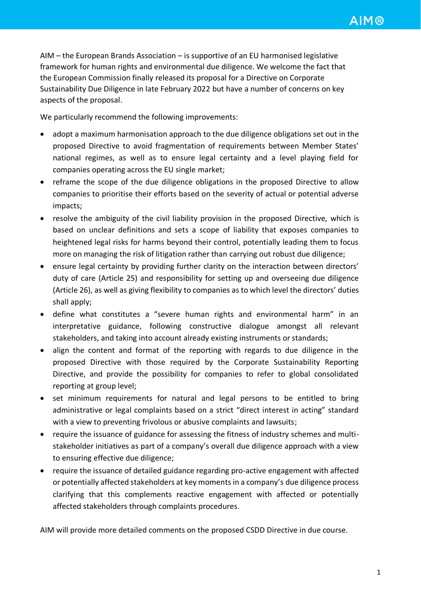AIM – the European Brands Association – is supportive of an EU harmonised legislative framework for human rights and environmental due diligence. We welcome the fact that the European Commission finally released its proposal for a Directive on Corporate Sustainability Due Diligence in late February 2022 but have a number of concerns on key aspects of the proposal.

We particularly recommend the following improvements:

- adopt a maximum harmonisation approach to the due diligence obligations set out in the proposed Directive to avoid fragmentation of requirements between Member States' national regimes, as well as to ensure legal certainty and a level playing field for companies operating across the EU single market;
- reframe the scope of the due diligence obligations in the proposed Directive to allow companies to prioritise their efforts based on the severity of actual or potential adverse impacts;
- resolve the ambiguity of the civil liability provision in the proposed Directive, which is based on unclear definitions and sets a scope of liability that exposes companies to heightened legal risks for harms beyond their control, potentially leading them to focus more on managing the risk of litigation rather than carrying out robust due diligence;
- ensure legal certainty by providing further clarity on the interaction between directors' duty of care (Article 25) and responsibility for setting up and overseeing due diligence (Article 26), as well as giving flexibility to companies as to which level the directors' duties shall apply;
- define what constitutes a "severe human rights and environmental harm" in an interpretative guidance, following constructive dialogue amongst all relevant stakeholders, and taking into account already existing instruments or standards;
- align the content and format of the reporting with regards to due diligence in the proposed Directive with those required by the Corporate Sustainability Reporting Directive, and provide the possibility for companies to refer to global consolidated reporting at group level;
- set minimum requirements for natural and legal persons to be entitled to bring administrative or legal complaints based on a strict "direct interest in acting" standard with a view to preventing frivolous or abusive complaints and lawsuits;
- require the issuance of guidance for assessing the fitness of industry schemes and multistakeholder initiatives as part of a company's overall due diligence approach with a view to ensuring effective due diligence;
- require the issuance of detailed guidance regarding pro-active engagement with affected or potentially affected stakeholders at key moments in a company's due diligence process clarifying that this complements reactive engagement with affected or potentially affected stakeholders through complaints procedures.

AIM will provide more detailed comments on the proposed CSDD Directive in due course.